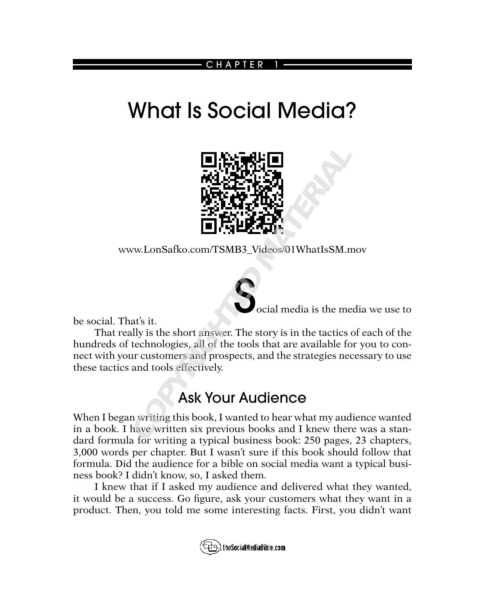#### CHAPTER

# What Is Social Media?



www.LonSafko.com/TSMB3\_Videos/01WhatIsSM.mov



ocial media is the media we use to

be social. That's it.

That really is the short answer. The story is in the tactics of each of the hundreds of technologies, all of the tools that are available for you to connect with your customers and prospects, and the strategies necessary to use these tactics and tools effectively. **COPYRIGHTED MATERIAL CORPORATION**<br> **COPYRIGHTED MATERIAL COPYRIGHTED MATERIAL COPYRIGHTS**<br>
COPYRIGHTED MATERIAL COPYRIGHT<br>
COPYRIGHTED MATERIAL COPYRIGHTS OF SURFAMELY CONTINUES AND COLUMNATISM.<br>
THE STATE OF STATE OF STA

# Ask Your Audience

When I began writing this book, I wanted to hear what my audience wanted in a book. I have written six previous books and I knew there was a standard formula for writing a typical business book: 250 pages, 23 chapters, 3,000 words per chapter. But I wasn't sure if this book should follow that formula. Did the audience for a bible on social media want a typical business book? I didn't know, so, I asked them.

I knew that if I asked my audience and delivered what they wanted, it would be a success. Go figure, ask your customers what they want in a product. Then, you told me some interesting facts. First, you didn't want

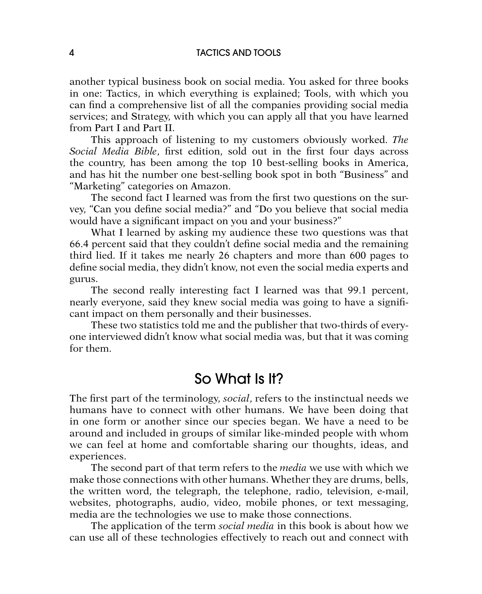another typical business book on social media. You asked for three books in one: Tactics, in which everything is explained; Tools, with which you can find a comprehensive list of all the companies providing social media services; and Strategy, with which you can apply all that you have learned from Part I and Part II.

This approach of listening to my customers obviously worked. The Social Media Bible, first edition, sold out in the first four days across the country, has been among the top 10 best-selling books in America, and has hit the number one best-selling book spot in both "Business" and "Marketing" categories on Amazon.

The second fact I learned was from the first two questions on the survey, "Can you define social media?" and "Do you believe that social media would have a significant impact on you and your business?"

What I learned by asking my audience these two questions was that  $66.4$  percent said that they couldn't define social media and the remaining third lied. If it takes me nearly 26 chapters and more than 600 pages to define social media, they didn't know, not even the social media experts and gurus.

The second really interesting fact I learned was that 99.1 percent, nearly everyone, said they knew social media was going to have a significant impact on them personally and their businesses.

These two statistics told me and the publisher that two-thirds of everyone interviewed didn't know what social media was, but that it was coming for them.

### So What Is It?

The first part of the terminology, *social*, refers to the instinctual needs we humans have to connect with other humans. We have been doing that in one form or another since our species began. We have a need to be around and included in groups of similar like-minded people with whom we can feel at home and comfortable sharing our thoughts, ideas, and experiences.

The second part of that term refers to the *media* we use with which we make those connections with other humans. Whether they are drums, bells, the written word, the telegraph, the telephone, radio, television, e-mail, websites, photographs, audio, video, mobile phones, or text messaging, media are the technologies we use to make those connections.

The application of the term *social media* in this book is about how we can use all of these technologies effectively to reach out and connect with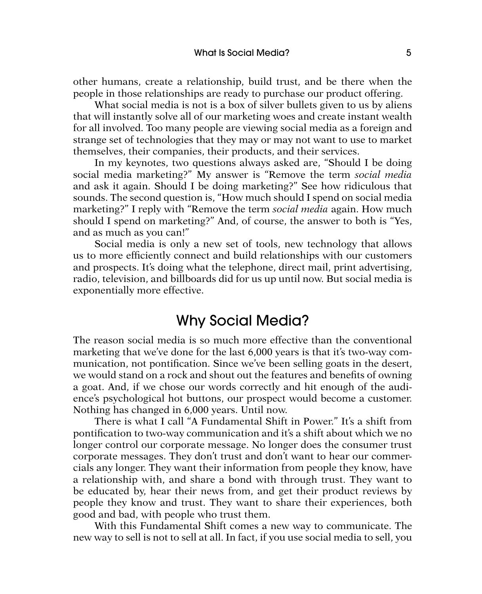other humans, create a relationship, build trust, and be there when the people in those relationships are ready to purchase our product offering.

What social media is not is a box of silver bullets given to us by aliens that will instantly solve all of our marketing woes and create instant wealth for all involved. Too many people are viewing social media as a foreign and strange set of technologies that they may or may not want to use to market themselves, their companies, their products, and their services.

In my keynotes, two questions always asked are, "Should I be doing social media marketing?" My answer is "Remove the term social media and ask it again. Should I be doing marketing?" See how ridiculous that sounds. The second question is, "How much should I spend on social media marketing?" I reply with "Remove the term *social media* again. How much should I spend on marketing?" And, of course, the answer to both is "Yes, and as much as you can!"

Social media is only a new set of tools, new technology that allows us to more efficiently connect and build relationships with our customers and prospects. It's doing what the telephone, direct mail, print advertising, radio, television, and billboards did for us up until now. But social media is exponentially more effective.

### Why Social Media?

The reason social media is so much more effective than the conventional marketing that we've done for the last 6,000 years is that it's two-way communication, not pontification. Since we've been selling goats in the desert, we would stand on a rock and shout out the features and benefits of owning a goat. And, if we chose our words correctly and hit enough of the audience's psychological hot buttons, our prospect would become a customer. Nothing has changed in 6,000 years. Until now.

There is what I call "A Fundamental Shift in Power." It's a shift from pontification to two-way communication and it's a shift about which we no longer control our corporate message. No longer does the consumer trust corporate messages. They don't trust and don't want to hear our commercials any longer. They want their information from people they know, have a relationship with, and share a bond with through trust. They want to be educated by, hear their news from, and get their product reviews by people they know and trust. They want to share their experiences, both good and bad, with people who trust them.

With this Fundamental Shift comes a new way to communicate. The new way to sell is not to sell at all. In fact, if you use social media to sell, you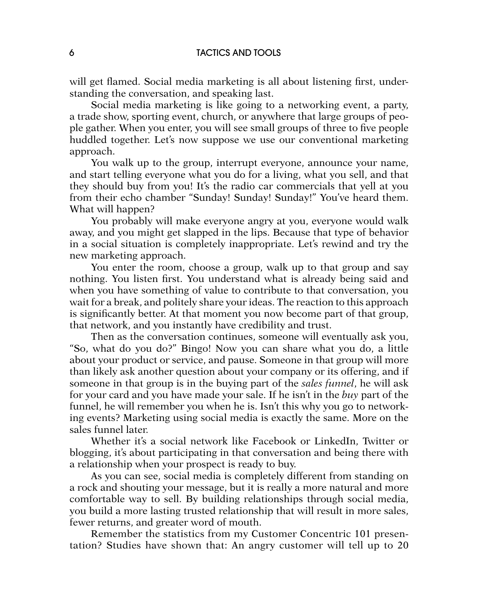will get flamed. Social media marketing is all about listening first, understanding the conversation, and speaking last.

Social media marketing is like going to a networking event, a party, a trade show, sporting event, church, or anywhere that large groups of people gather. When you enter, you will see small groups of three to five people huddled together. Let's now suppose we use our conventional marketing approach.

You walk up to the group, interrupt everyone, announce your name, and start telling everyone what you do for a living, what you sell, and that they should buy from you! It's the radio car commercials that yell at you from their echo chamber "Sunday! Sunday! Sunday!" You've heard them. What will happen?

You probably will make everyone angry at you, everyone would walk away, and you might get slapped in the lips. Because that type of behavior in a social situation is completely inappropriate. Let's rewind and try the new marketing approach.

You enter the room, choose a group, walk up to that group and say nothing. You listen first. You understand what is already being said and when you have something of value to contribute to that conversation, you wait for a break, and politely share your ideas. The reaction to this approach is significantly better. At that moment you now become part of that group, that network, and you instantly have credibility and trust.

Then as the conversation continues, someone will eventually ask you, "So, what do you do?" Bingo! Now you can share what you do, a little about your product or service, and pause. Someone in that group will more than likely ask another question about your company or its offering, and if someone in that group is in the buying part of the *sales funnel*, he will ask for your card and you have made your sale. If he isn't in the buy part of the funnel, he will remember you when he is. Isn't this why you go to networking events? Marketing using social media is exactly the same. More on the sales funnel later.

Whether it's a social network like Facebook or LinkedIn, Twitter or blogging, it's about participating in that conversation and being there with a relationship when your prospect is ready to buy.

As you can see, social media is completely different from standing on a rock and shouting your message, but it is really a more natural and more comfortable way to sell. By building relationships through social media, you build a more lasting trusted relationship that will result in more sales, fewer returns, and greater word of mouth.

Remember the statistics from my Customer Concentric 101 presentation? Studies have shown that: An angry customer will tell up to 20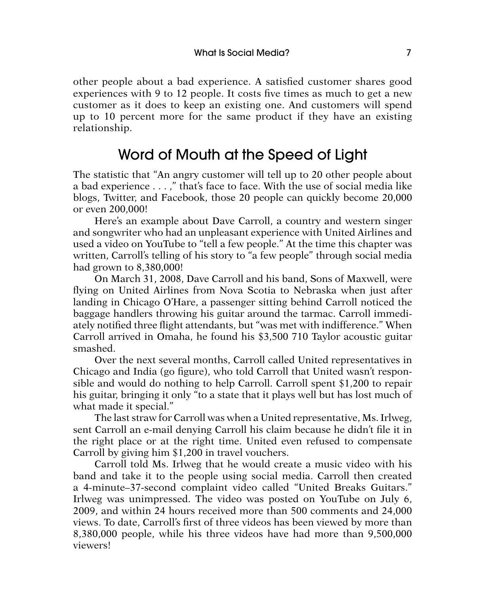other people about a bad experience. A satisfied customer shares good experiences with 9 to 12 people. It costs five times as much to get a new customer as it does to keep an existing one. And customers will spend up to 10 percent more for the same product if they have an existing relationship.

# Word of Mouth at the Speed of Light

The statistic that "An angry customer will tell up to 20 other people about a bad experience . . . ," that's face to face. With the use of social media like blogs, Twitter, and Facebook, those 20 people can quickly become 20,000 or even 200,000!

Here's an example about Dave Carroll, a country and western singer and songwriter who had an unpleasant experience with United Airlines and used a video on YouTube to "tell a few people." At the time this chapter was written, Carroll's telling of his story to "a few people" through social media had grown to 8,380,000!

On March 31, 2008, Dave Carroll and his band, Sons of Maxwell, were flying on United Airlines from Nova Scotia to Nebraska when just after landing in Chicago O'Hare, a passenger sitting behind Carroll noticed the baggage handlers throwing his guitar around the tarmac. Carroll immediately notified three flight attendants, but "was met with indifference." When Carroll arrived in Omaha, he found his \$3,500 710 Taylor acoustic guitar smashed.

Over the next several months, Carroll called United representatives in Chicago and India (go figure), who told Carroll that United wasn't responsible and would do nothing to help Carroll. Carroll spent \$1,200 to repair his guitar, bringing it only "to a state that it plays well but has lost much of what made it special."

The last straw for Carroll was when a United representative, Ms. Irlweg, sent Carroll an e-mail denying Carroll his claim because he didn't file it in the right place or at the right time. United even refused to compensate Carroll by giving him \$1,200 in travel vouchers.

Carroll told Ms. Irlweg that he would create a music video with his band and take it to the people using social media. Carroll then created a 4-minute–37-second complaint video called "United Breaks Guitars." Irlweg was unimpressed. The video was posted on YouTube on July 6, 2009, and within 24 hours received more than 500 comments and 24,000 views. To date, Carroll's first of three videos has been viewed by more than 8,380,000 people, while his three videos have had more than 9,500,000 viewers!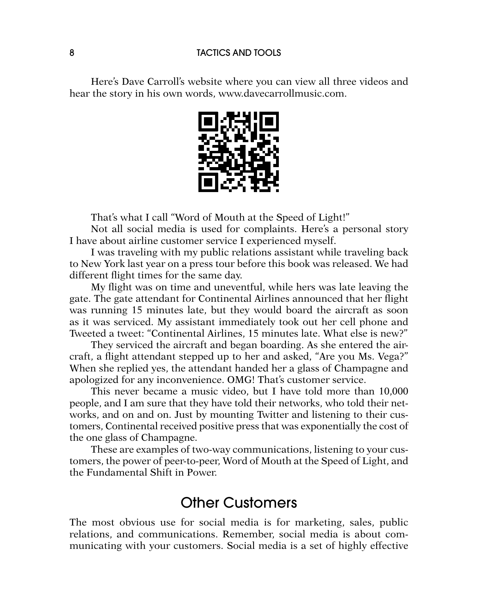Here's Dave Carroll's website where you can view all three videos and hear the story in his own words, www.davecarrollmusic.com.



That's what I call "Word of Mouth at the Speed of Light!"

Not all social media is used for complaints. Here's a personal story I have about airline customer service I experienced myself.

I was traveling with my public relations assistant while traveling back to New York last year on a press tour before this book was released. We had different flight times for the same day.

My flight was on time and uneventful, while hers was late leaving the gate. The gate attendant for Continental Airlines announced that her flight was running 15 minutes late, but they would board the aircraft as soon as it was serviced. My assistant immediately took out her cell phone and Tweeted a tweet: "Continental Airlines, 15 minutes late. What else is new?"

They serviced the aircraft and began boarding. As she entered the aircraft, a flight attendant stepped up to her and asked, "Are you Ms. Vega?" When she replied yes, the attendant handed her a glass of Champagne and apologized for any inconvenience. OMG! That's customer service.

This never became a music video, but I have told more than 10,000 people, and I am sure that they have told their networks, who told their networks, and on and on. Just by mounting Twitter and listening to their customers, Continental received positive press that was exponentially the cost of the one glass of Champagne.

These are examples of two-way communications, listening to your customers, the power of peer-to-peer, Word of Mouth at the Speed of Light, and the Fundamental Shift in Power.

# Other Customers

The most obvious use for social media is for marketing, sales, public relations, and communications. Remember, social media is about communicating with your customers. Social media is a set of highly effective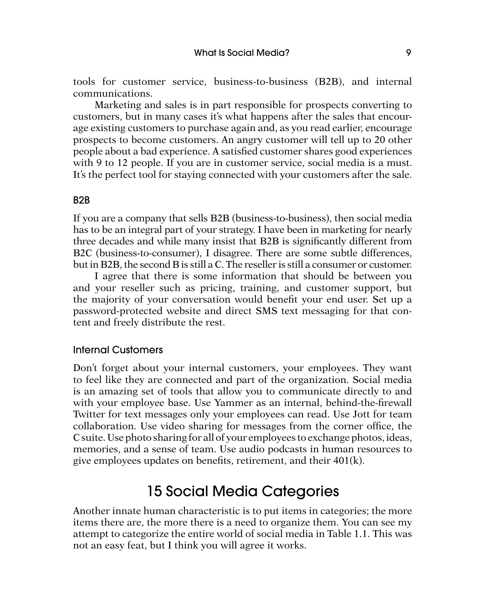tools for customer service, business-to-business (B2B), and internal communications.

Marketing and sales is in part responsible for prospects converting to customers, but in many cases it's what happens after the sales that encourage existing customers to purchase again and, as you read earlier, encourage prospects to become customers. An angry customer will tell up to 20 other people about a bad experience. A satisfied customer shares good experiences with 9 to 12 people. If you are in customer service, social media is a must. It's the perfect tool for staying connected with your customers after the sale.

#### B2B

If you are a company that sells B2B (business-to-business), then social media has to be an integral part of your strategy. I have been in marketing for nearly three decades and while many insist that B2B is significantly different from B2C (business-to-consumer), I disagree. There are some subtle differences, but in B2B, the second B is still a C. The reseller is still a consumer or customer.

I agree that there is some information that should be between you and your reseller such as pricing, training, and customer support, but the majority of your conversation would benefit your end user. Set up a password-protected website and direct SMS text messaging for that content and freely distribute the rest.

#### Internal Customers

Don't forget about your internal customers, your employees. They want to feel like they are connected and part of the organization. Social media is an amazing set of tools that allow you to communicate directly to and with your employee base. Use Yammer as an internal, behind-the-firewall Twitter for text messages only your employees can read. Use Jott for team collaboration. Use video sharing for messages from the corner office, the C suite. Use photo sharing for all of your employees to exchange photos, ideas, memories, and a sense of team. Use audio podcasts in human resources to give employees updates on benefits, retirement, and their  $401(k)$ .

# 15 Social Media Categories

Another innate human characteristic is to put items in categories; the more items there are, the more there is a need to organize them. You can see my attempt to categorize the entire world of social media in Table 1.1. This was not an easy feat, but I think you will agree it works.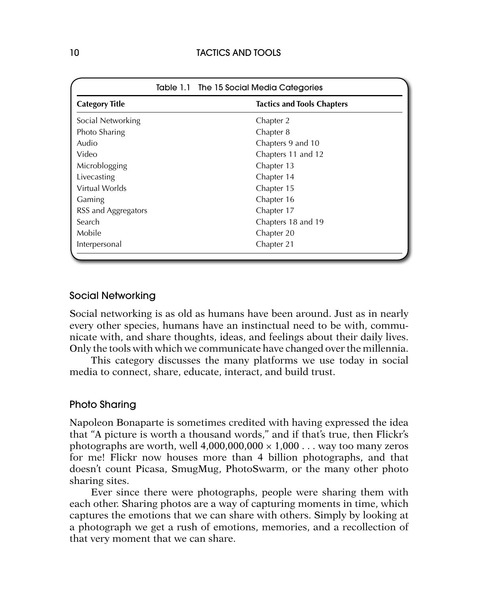|                       | Table 1.1 The 15 Social Media Categories |
|-----------------------|------------------------------------------|
| <b>Category Title</b> | <b>Tactics and Tools Chapters</b>        |
| Social Networking     | Chapter 2                                |
| Photo Sharing         | Chapter 8                                |
| Audio                 | Chapters 9 and 10                        |
| Video                 | Chapters 11 and 12                       |
| Microblogging         | Chapter 13                               |
| Livecasting           | Chapter 14                               |
| Virtual Worlds        | Chapter 15                               |
| Gaming                | Chapter 16                               |
| RSS and Aggregators   | Chapter 17                               |
| Search                | Chapters 18 and 19                       |
| Mobile                | Chapter 20                               |
| Interpersonal         | Chapter 21                               |
|                       |                                          |

#### Social Networking

Social networking is as old as humans have been around. Just as in nearly every other species, humans have an instinctual need to be with, communicate with, and share thoughts, ideas, and feelings about their daily lives. Only the tools with which we communicate have changed over the millennia.

This category discusses the many platforms we use today in social media to connect, share, educate, interact, and build trust.

#### Photo Sharing

Napoleon Bonaparte is sometimes credited with having expressed the idea that "A picture is worth a thousand words," and if that's true, then Flickr's photographs are worth, well  $4,000,000,000 \times 1,000$ ... way too many zeros for me! Flickr now houses more than 4 billion photographs, and that doesn't count Picasa, SmugMug, PhotoSwarm, or the many other photo sharing sites.

Ever since there were photographs, people were sharing them with each other. Sharing photos are a way of capturing moments in time, which captures the emotions that we can share with others. Simply by looking at a photograph we get a rush of emotions, memories, and a recollection of that very moment that we can share.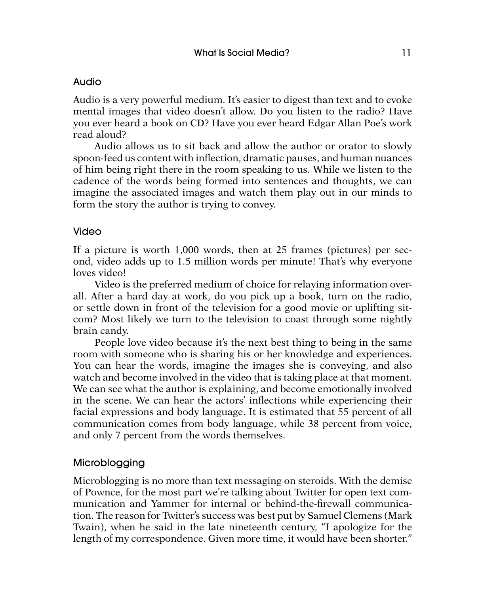#### Audio

Audio is a very powerful medium. It's easier to digest than text and to evoke mental images that video doesn't allow. Do you listen to the radio? Have you ever heard a book on CD? Have you ever heard Edgar Allan Poe's work read aloud?

Audio allows us to sit back and allow the author or orator to slowly spoon-feed us content with inflection, dramatic pauses, and human nuances of him being right there in the room speaking to us. While we listen to the cadence of the words being formed into sentences and thoughts, we can imagine the associated images and watch them play out in our minds to form the story the author is trying to convey.

#### Video

If a picture is worth 1,000 words, then at 25 frames (pictures) per second, video adds up to 1.5 million words per minute! That's why everyone loves video!

Video is the preferred medium of choice for relaying information overall. After a hard day at work, do you pick up a book, turn on the radio, or settle down in front of the television for a good movie or uplifting sitcom? Most likely we turn to the television to coast through some nightly brain candy.

People love video because it's the next best thing to being in the same room with someone who is sharing his or her knowledge and experiences. You can hear the words, imagine the images she is conveying, and also watch and become involved in the video that is taking place at that moment. We can see what the author is explaining, and become emotionally involved in the scene. We can hear the actors' inflections while experiencing their facial expressions and body language. It is estimated that 55 percent of all communication comes from body language, while 38 percent from voice, and only 7 percent from the words themselves.

#### Microblogging

Microblogging is no more than text messaging on steroids. With the demise of Pownce, for the most part we're talking about Twitter for open text communication and Yammer for internal or behind-the-firewall communication. The reason for Twitter's success was best put by Samuel Clemens (Mark Twain), when he said in the late nineteenth century, "I apologize for the length of my correspondence. Given more time, it would have been shorter."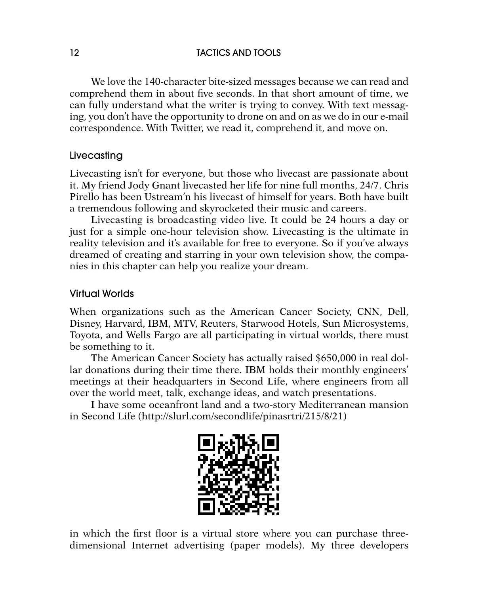#### 12 TACTICS AND TOOLS

We love the 140-character bite-sized messages because we can read and comprehend them in about five seconds. In that short amount of time, we can fully understand what the writer is trying to convey. With text messaging, you don't have the opportunity to drone on and on as we do in our e-mail correspondence. With Twitter, we read it, comprehend it, and move on.

#### Livecasting

Livecasting isn't for everyone, but those who livecast are passionate about it. My friend Jody Gnant livecasted her life for nine full months, 24/7. Chris Pirello has been Ustream'n his livecast of himself for years. Both have built a tremendous following and skyrocketed their music and careers.

Livecasting is broadcasting video live. It could be 24 hours a day or just for a simple one-hour television show. Livecasting is the ultimate in reality television and it's available for free to everyone. So if you've always dreamed of creating and starring in your own television show, the companies in this chapter can help you realize your dream.

#### Virtual Worlds

When organizations such as the American Cancer Society, CNN, Dell, Disney, Harvard, IBM, MTV, Reuters, Starwood Hotels, Sun Microsystems, Toyota, and Wells Fargo are all participating in virtual worlds, there must be something to it.

The American Cancer Society has actually raised \$650,000 in real dollar donations during their time there. IBM holds their monthly engineers' meetings at their headquarters in Second Life, where engineers from all over the world meet, talk, exchange ideas, and watch presentations.

I have some oceanfront land and a two-story Mediterranean mansion in Second Life (http://slurl.com/secondlife/pinasrtri/215/8/21)



in which the first floor is a virtual store where you can purchase threedimensional Internet advertising (paper models). My three developers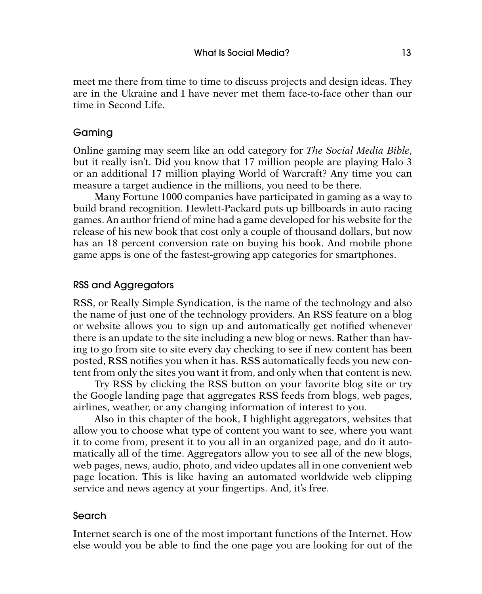meet me there from time to time to discuss projects and design ideas. They are in the Ukraine and I have never met them face-to-face other than our time in Second Life.

#### Gaming

Online gaming may seem like an odd category for The Social Media Bible, but it really isn't. Did you know that 17 million people are playing Halo 3 or an additional 17 million playing World of Warcraft? Any time you can measure a target audience in the millions, you need to be there.

Many Fortune 1000 companies have participated in gaming as a way to build brand recognition. Hewlett-Packard puts up billboards in auto racing games. An author friend of mine had a game developed for his website for the release of his new book that cost only a couple of thousand dollars, but now has an 18 percent conversion rate on buying his book. And mobile phone game apps is one of the fastest-growing app categories for smartphones.

#### RSS and Aggregators

RSS, or Really Simple Syndication, is the name of the technology and also the name of just one of the technology providers. An RSS feature on a blog or website allows you to sign up and automatically get notified whenever there is an update to the site including a new blog or news. Rather than having to go from site to site every day checking to see if new content has been posted, RSS notifies you when it has. RSS automatically feeds you new content from only the sites you want it from, and only when that content is new.

Try RSS by clicking the RSS button on your favorite blog site or try the Google landing page that aggregates RSS feeds from blogs, web pages, airlines, weather, or any changing information of interest to you.

Also in this chapter of the book, I highlight aggregators, websites that allow you to choose what type of content you want to see, where you want it to come from, present it to you all in an organized page, and do it automatically all of the time. Aggregators allow you to see all of the new blogs, web pages, news, audio, photo, and video updates all in one convenient web page location. This is like having an automated worldwide web clipping service and news agency at your fingertips. And, it's free.

#### Search

Internet search is one of the most important functions of the Internet. How else would you be able to find the one page you are looking for out of the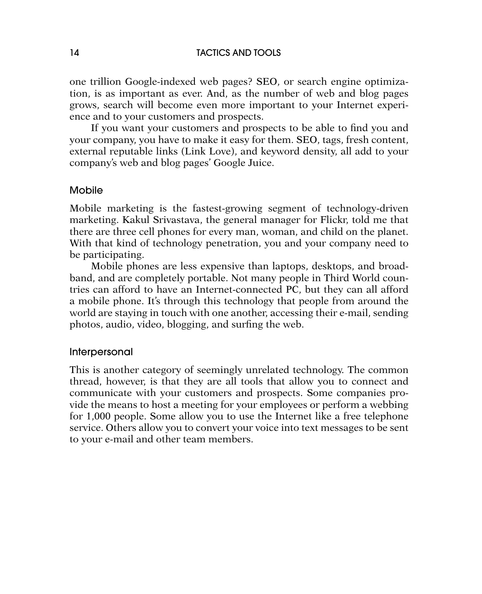14 TACTICS AND TOOLS

one trillion Google-indexed web pages? SEO, or search engine optimization, is as important as ever. And, as the number of web and blog pages grows, search will become even more important to your Internet experience and to your customers and prospects.

If you want your customers and prospects to be able to find you and your company, you have to make it easy for them. SEO, tags, fresh content, external reputable links (Link Love), and keyword density, all add to your company's web and blog pages' Google Juice.

#### Mobile

Mobile marketing is the fastest-growing segment of technology-driven marketing. Kakul Srivastava, the general manager for Flickr, told me that there are three cell phones for every man, woman, and child on the planet. With that kind of technology penetration, you and your company need to be participating.

Mobile phones are less expensive than laptops, desktops, and broadband, and are completely portable. Not many people in Third World countries can afford to have an Internet-connected PC, but they can all afford a mobile phone. It's through this technology that people from around the world are staying in touch with one another, accessing their e-mail, sending photos, audio, video, blogging, and surfing the web.

#### Interpersonal

This is another category of seemingly unrelated technology. The common thread, however, is that they are all tools that allow you to connect and communicate with your customers and prospects. Some companies provide the means to host a meeting for your employees or perform a webbing for 1,000 people. Some allow you to use the Internet like a free telephone service. Others allow you to convert your voice into text messages to be sent to your e-mail and other team members.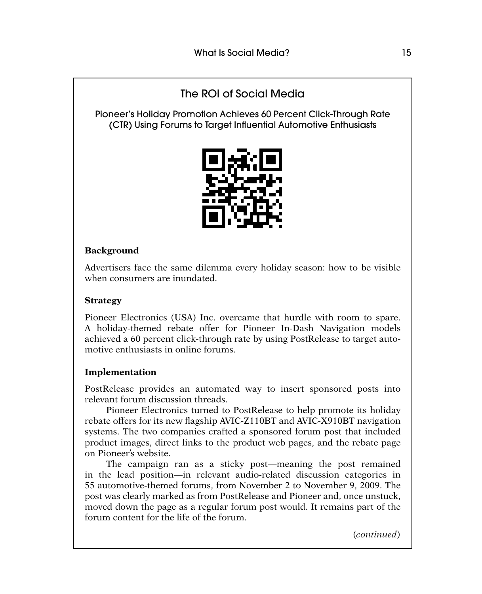### The ROI of Social Media

Pioneer's Holiday Promotion Achieves 60 Percent Click-Through Rate (CTR) Using Forums to Target Influential Automotive Enthusiasts



#### **Background**

Advertisers face the same dilemma every holiday season: how to be visible when consumers are inundated.

#### **Strategy**

Pioneer Electronics (USA) Inc. overcame that hurdle with room to spare. A holiday-themed rebate offer for Pioneer In-Dash Navigation models achieved a 60 percent click-through rate by using PostRelease to target automotive enthusiasts in online forums.

#### **Implementation**

PostRelease provides an automated way to insert sponsored posts into relevant forum discussion threads.

Pioneer Electronics turned to PostRelease to help promote its holiday rebate offers for its new flagship AVIC-Z110BT and AVIC-X910BT navigation systems. The two companies crafted a sponsored forum post that included product images, direct links to the product web pages, and the rebate page on Pioneer's website.

The campaign ran as a sticky post—meaning the post remained in the lead position—in relevant audio-related discussion categories in 55 automotive-themed forums, from November 2 to November 9, 2009. The post was clearly marked as from PostRelease and Pioneer and, once unstuck, moved down the page as a regular forum post would. It remains part of the forum content for the life of the forum.

(continued)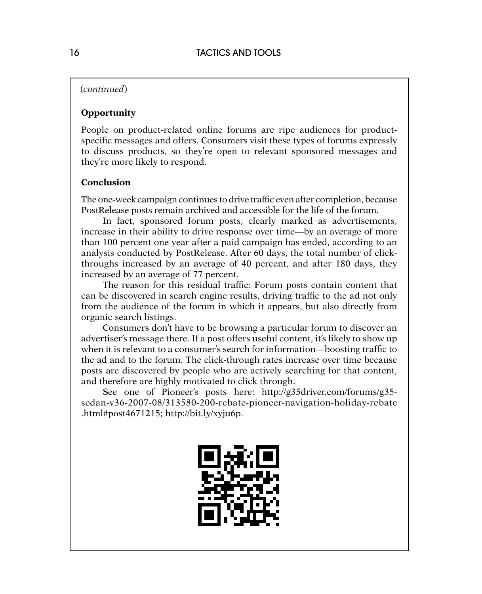#### (continued)

#### **Opportunity**

People on product-related online forums are ripe audiences for productspecific messages and offers. Consumers visit these types of forums expressly to discuss products, so they're open to relevant sponsored messages and they're more likely to respond.

#### **Conclusion**

The one-week campaign continues to drive traffic even after completion, because PostRelease posts remain archived and accessible for the life of the forum.

In fact, sponsored forum posts, clearly marked as advertisements, increase in their ability to drive response over time—by an average of more than 100 percent one year after a paid campaign has ended, according to an analysis conducted by PostRelease. After 60 days, the total number of clickthroughs increased by an average of 40 percent, and after 180 days, they increased by an average of 77 percent.

The reason for this residual traffic: Forum posts contain content that can be discovered in search engine results, driving traffic to the ad not only from the audience of the forum in which it appears, but also directly from organic search listings.

Consumers don't have to be browsing a particular forum to discover an advertiser's message there. If a post offers useful content, it's likely to show up when it is relevant to a consumer's search for information—boosting traffic to the ad and to the forum. The click-through rates increase over time because posts are discovered by people who are actively searching for that content, and therefore are highly motivated to click through.

See one of Pioneer's posts here: http://g35driver.com/forums/g35 sedan-v36-2007-08/313580-200-rebate-pioneer-navigation-holiday-rebate .html#post4671215; http://bit.ly/xyju6p.

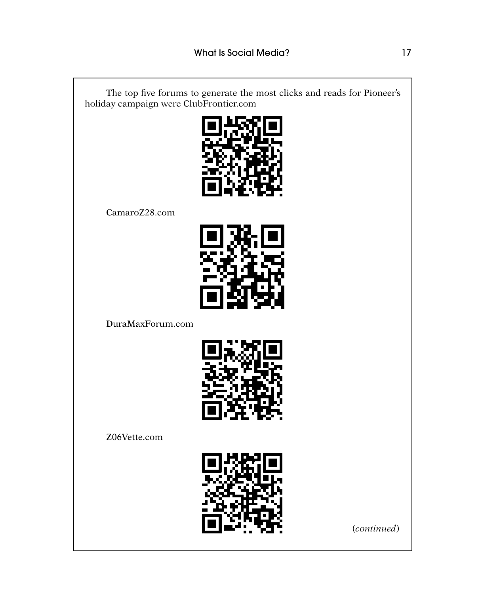The top five forums to generate the most clicks and reads for Pioneer's holiday campaign were ClubFrontier.com



CamaroZ28.com



DuraMaxForum.com



Z06Vette.com



(continued)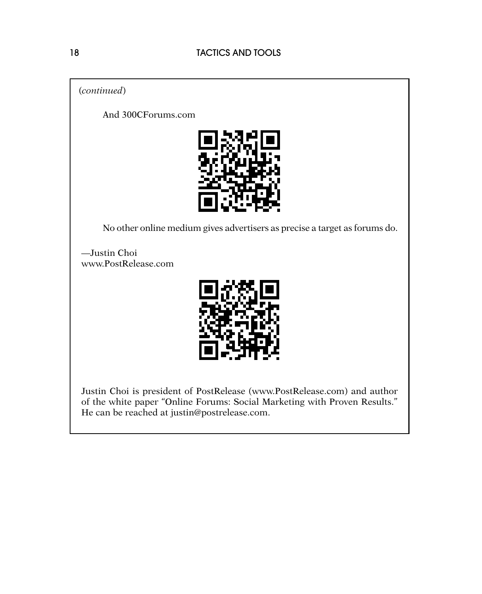(continued)

And 300CForums.com



No other online medium gives advertisers as precise a target as forums do.

—Justin Choi www.PostRelease.com



Justin Choi is president of PostRelease (www.PostRelease.com) and author of the white paper "Online Forums: Social Marketing with Proven Results." He can be reached at justin@postrelease.com.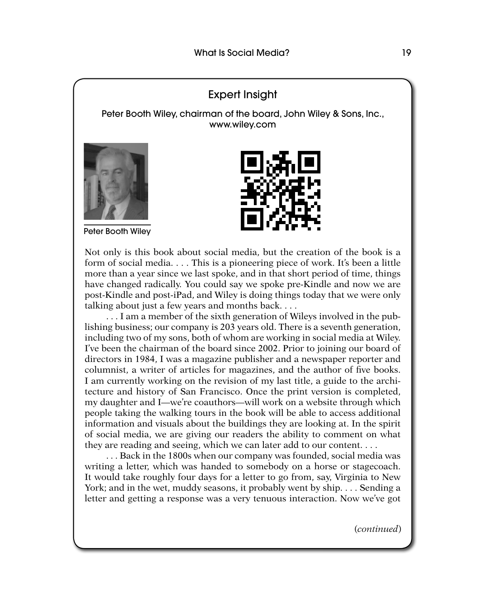### Expert Insight

Peter Booth Wiley, chairman of the board, John Wiley & Sons, Inc., www.wiley.com





Peter Booth Wiley

Not only is this book about social media, but the creation of the book is a form of social media. . . . This is a pioneering piece of work. It's been a little more than a year since we last spoke, and in that short period of time, things have changed radically. You could say we spoke pre-Kindle and now we are post-Kindle and post-iPad, and Wiley is doing things today that we were only talking about just a few years and months back. . . .

... I am a member of the sixth generation of Wileys involved in the publishing business; our company is 203 years old. There is a seventh generation, including two of my sons, both of whom are working in social media at Wiley. I've been the chairman of the board since 2002. Prior to joining our board of directors in 1984, I was a magazine publisher and a newspaper reporter and columnist, a writer of articles for magazines, and the author of five books. I am currently working on the revision of my last title, a guide to the architecture and history of San Francisco. Once the print version is completed, my daughter and I—we're coauthors—will work on a website through which people taking the walking tours in the book will be able to access additional information and visuals about the buildings they are looking at. In the spirit of social media, we are giving our readers the ability to comment on what they are reading and seeing, which we can later add to our content. . . .

. . . Back in the 1800s when our company was founded, social media was writing a letter, which was handed to somebody on a horse or stagecoach. It would take roughly four days for a letter to go from, say, Virginia to New York; and in the wet, muddy seasons, it probably went by ship.... Sending a letter and getting a response was a very tenuous interaction. Now we've got

(continued)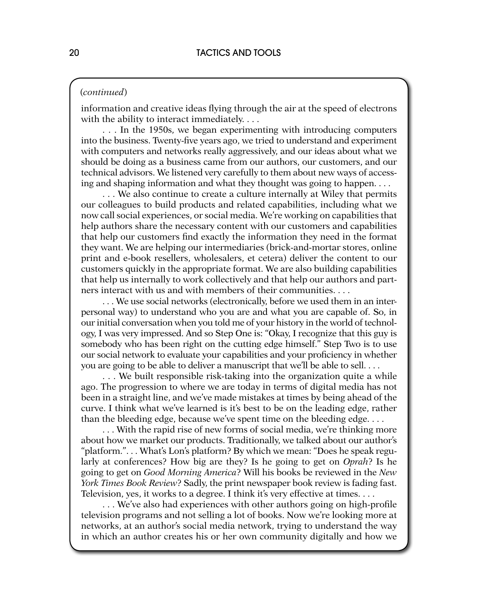#### (continued)

information and creative ideas flying through the air at the speed of electrons with the ability to interact immediately. . . .

. . . In the 1950s, we began experimenting with introducing computers into the business. Twenty-five years ago, we tried to understand and experiment with computers and networks really aggressively, and our ideas about what we should be doing as a business came from our authors, our customers, and our technical advisors. We listened very carefully to them about new ways of accessing and shaping information and what they thought was going to happen. . . .

. . . We also continue to create a culture internally at Wiley that permits our colleagues to build products and related capabilities, including what we now call social experiences, or social media. We're working on capabilities that help authors share the necessary content with our customers and capabilities that help our customers find exactly the information they need in the format they want. We are helping our intermediaries (brick-and-mortar stores, online print and e-book resellers, wholesalers, et cetera) deliver the content to our customers quickly in the appropriate format. We are also building capabilities that help us internally to work collectively and that help our authors and partners interact with us and with members of their communities. . . .

. . . We use social networks (electronically, before we used them in an interpersonal way) to understand who you are and what you are capable of. So, in our initial conversation when you told me of your history in the world of technology, I was very impressed. And so Step One is: "Okay, I recognize that this guy is somebody who has been right on the cutting edge himself." Step Two is to use our social network to evaluate your capabilities and your proficiency in whether you are going to be able to deliver a manuscript that we'll be able to sell. . . .

. . . We built responsible risk-taking into the organization quite a while ago. The progression to where we are today in terms of digital media has not been in a straight line, and we've made mistakes at times by being ahead of the curve. I think what we've learned is it's best to be on the leading edge, rather than the bleeding edge, because we've spent time on the bleeding edge. . . .

. . . With the rapid rise of new forms of social media, we're thinking more about how we market our products. Traditionally, we talked about our author's "platform.". . . What's Lon's platform? By which we mean: "Does he speak regularly at conferences? How big are they? Is he going to get on Oprah? Is he going to get on Good Morning America? Will his books be reviewed in the New York Times Book Review? Sadly, the print newspaper book review is fading fast. Television, yes, it works to a degree. I think it's very effective at times. . . .

... We've also had experiences with other authors going on high-profile television programs and not selling a lot of books. Now we're looking more at networks, at an author's social media network, trying to understand the way in which an author creates his or her own community digitally and how we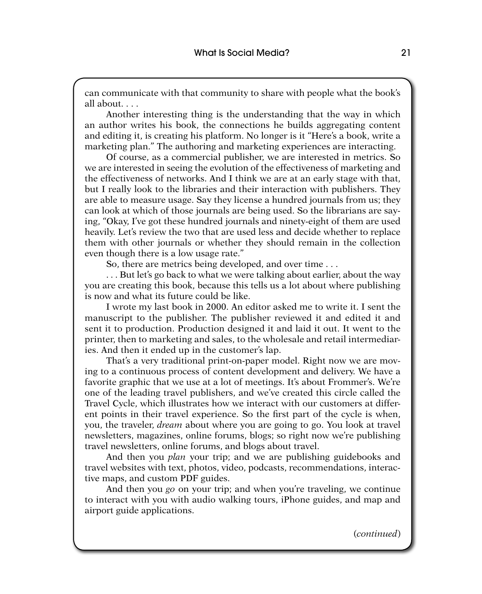can communicate with that community to share with people what the book's all about. . . .

Another interesting thing is the understanding that the way in which an author writes his book, the connections he builds aggregating content and editing it, is creating his platform. No longer is it "Here's a book, write a marketing plan." The authoring and marketing experiences are interacting.

Of course, as a commercial publisher, we are interested in metrics. So we are interested in seeing the evolution of the effectiveness of marketing and the effectiveness of networks. And I think we are at an early stage with that, but I really look to the libraries and their interaction with publishers. They are able to measure usage. Say they license a hundred journals from us; they can look at which of those journals are being used. So the librarians are saying, "Okay, I've got these hundred journals and ninety-eight of them are used heavily. Let's review the two that are used less and decide whether to replace them with other journals or whether they should remain in the collection even though there is a low usage rate."

So, there are metrics being developed, and over time . . .

. . . But let's go back to what we were talking about earlier, about the way you are creating this book, because this tells us a lot about where publishing is now and what its future could be like.

I wrote my last book in 2000. An editor asked me to write it. I sent the manuscript to the publisher. The publisher reviewed it and edited it and sent it to production. Production designed it and laid it out. It went to the printer, then to marketing and sales, to the wholesale and retail intermediaries. And then it ended up in the customer's lap.

That's a very traditional print-on-paper model. Right now we are moving to a continuous process of content development and delivery. We have a favorite graphic that we use at a lot of meetings. It's about Frommer's. We're one of the leading travel publishers, and we've created this circle called the Travel Cycle, which illustrates how we interact with our customers at different points in their travel experience. So the first part of the cycle is when, you, the traveler, dream about where you are going to go. You look at travel newsletters, magazines, online forums, blogs; so right now we're publishing travel newsletters, online forums, and blogs about travel.

And then you *plan* your trip; and we are publishing guidebooks and travel websites with text, photos, video, podcasts, recommendations, interactive maps, and custom PDF guides.

And then you go on your trip; and when you're traveling, we continue to interact with you with audio walking tours, iPhone guides, and map and airport guide applications.

(continued)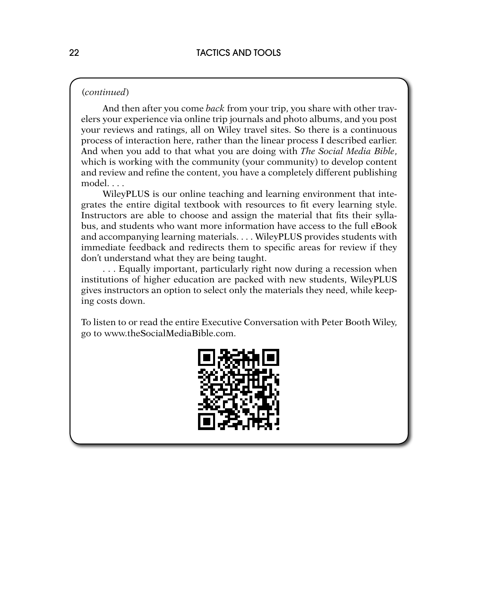#### (continued)

And then after you come back from your trip, you share with other travelers your experience via online trip journals and photo albums, and you post your reviews and ratings, all on Wiley travel sites. So there is a continuous process of interaction here, rather than the linear process I described earlier. And when you add to that what you are doing with *The Social Media Bible*, which is working with the community (your community) to develop content and review and refine the content, you have a completely different publishing model. . . .

WileyPLUS is our online teaching and learning environment that integrates the entire digital textbook with resources to fi t every learning style. Instructors are able to choose and assign the material that fits their syllabus, and students who want more information have access to the full eBook and accompanying learning materials. . . . WileyPLUS provides students with immediate feedback and redirects them to specific areas for review if they don't understand what they are being taught.

. . . Equally important, particularly right now during a recession when institutions of higher education are packed with new students, WileyPLUS gives instructors an option to select only the materials they need, while keeping costs down.

To listen to or read the entire Executive Conversation with Peter Booth Wiley, go to www.theSocialMediaBible.com.